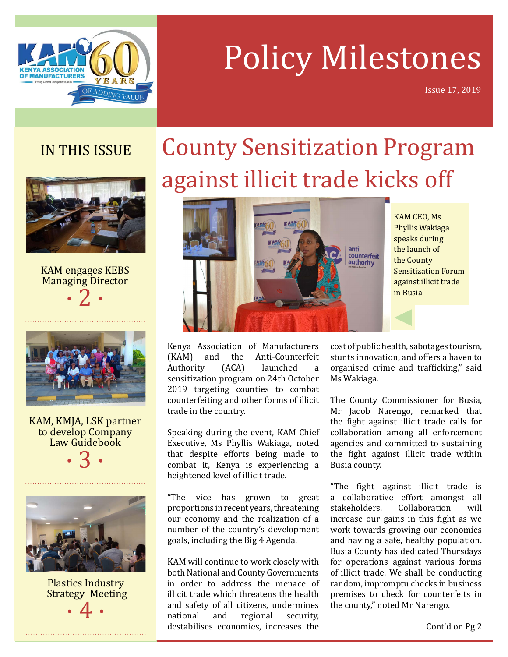

# Policy Milestones

Issue 17, 2019

### IN THIS ISSUE



KAM engages KEBS Managing Director  $\cdot$  2  $\cdot$ 



KAM, KMJA, LSK partner to develop Company Law Guidebook

 $\cdot$  3  $\cdot$ 



Plastics Industry Strategy Meeting · 4 ·

## County Sensitization Program against illicit trade kicks off



KAM CEO, Ms Phyllis Wakiaga speaks during the launch of the County Sensitization Forum against illicit trade in Busia.

Kenya Association of Manufacturers<br>(KAM) and the Anti-Counterfeit (KAM) and the Anti-Counterfeit<br>Authority (ACA) launched a Authority (ACA) launched a sensitization program on 24th October 2019 targeting counties to combat counterfeiting and other forms of illicit trade in the country.

Speaking during the event, KAM Chief Executive, Ms Phyllis Wakiaga, noted that despite efforts being made to combat it, Kenya is experiencing a heightened level of illicit trade.

"The vice has grown to great proportions in recent years, threatening our economy and the realization of a number of the country's development goals, including the Big 4 Agenda.

KAM will continue to work closely with both National and County Governments in order to address the menace of illicit trade which threatens the health and safety of all citizens, undermines<br>national and regional security, regional destabilises economies, increases the

cost of public health, sabotages tourism, stunts innovation, and offers a haven to organised crime and trafficking," said Ms Wakiaga.

The County Commissioner for Busia, Mr Jacob Narengo, remarked that the fight against illicit trade calls for collaboration among all enforcement agencies and committed to sustaining the fight against illicit trade within Busia county.

"The fight against illicit trade is a collaborative effort amongst all<br>stakeholders. Collaboration will Collaboration increase our gains in this fight as we work towards growing our economies and having a safe, healthy population. Busia County has dedicated Thursdays for operations against various forms of illicit trade. We shall be conducting random, impromptu checks in business premises to check for counterfeits in the county," noted Mr Narengo.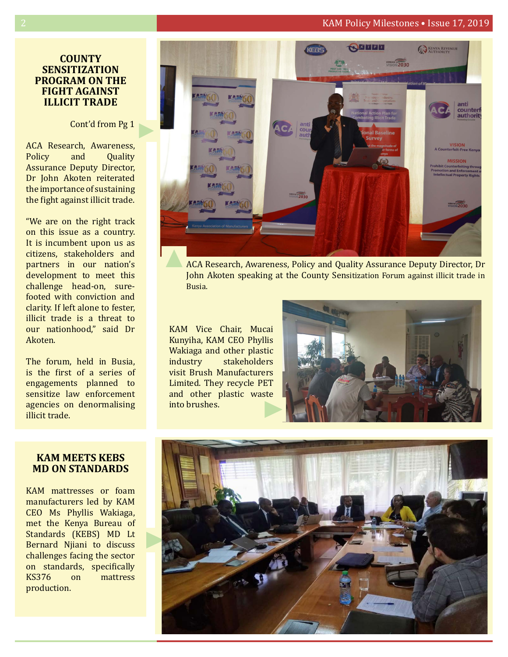#### 2 KAM Policy Milestones • Issue 17, 2019

#### **COUNTY SENSITIZATION Program on the fight AGAINST ILLICiT TRADE**

#### Cont'd from Pg 1

ACA Research, Awareness,<br>Policy and Ouality Quality Assurance Deputy Director, Dr John Akoten reiterated the importance of sustaining the fight against illicit trade.

"We are on the right track on this issue as a country. It is incumbent upon us as citizens, stakeholders and partners in our nation's development to meet this challenge head-on, surefooted with conviction and clarity. If left alone to fester, illicit trade is a threat to our nationhood," said Dr Akoten.

The forum, held in Busia, is the first of a series of engagements planned to sensitize law enforcement agencies on denormalising illicit trade.

#### **KAM MEETS KEBS MD ON STANDARDS**

KAM mattresses or foam manufacturers led by KAM CEO Ms Phyllis Wakiaga, met the Kenya Bureau of Standards (KEBS) MD Lt Bernard Njiani to discuss challenges facing the sector on standards, specifically<br>KS376 on mattress mattress production.



ACA Research, Awareness, Policy and Quality Assurance Deputy Director, Dr John Akoten speaking at the County Sensitization Forum against illicit trade in Busia.

KAM Vice Chair, Mucai Kunyiha, KAM CEO Phyllis Wakiaga and other plastic<br>industry stakeholders stakeholders visit Brush Manufacturers Limited. They recycle PET and other plastic waste into brushes.



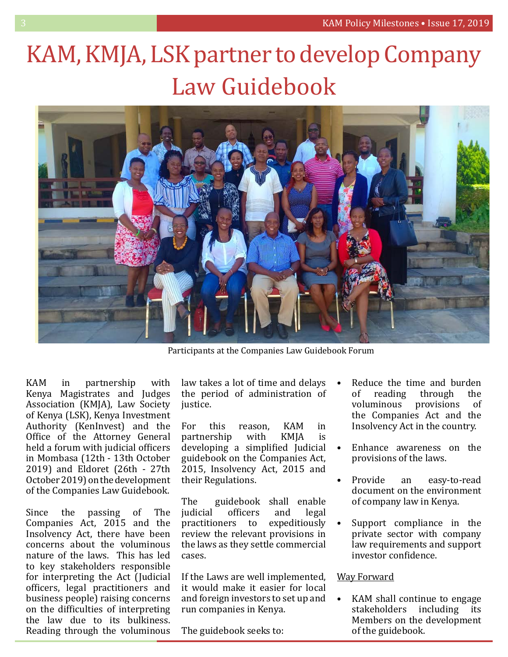## KAM, KMJA, LSK partner to develop Company Law Guidebook



Participants at the Companies Law Guidebook Forum

KAM in partnership with Kenya Magistrates and Judges Association (KMJA), Law Society of Kenya (LSK), Kenya Investment Authority (KenInvest) and the Office of the Attorney General held a forum with judicial officers in Mombasa (12th - 13th October 2019) and Eldoret (26th - 27th October 2019) on the development of the Companies Law Guidebook.

Since the passing of The Companies Act, 2015 and the Insolvency Act, there have been concerns about the voluminous nature of the laws. This has led to key stakeholders responsible for interpreting the Act (Judicial officers, legal practitioners and business people) raising concerns on the difficulties of interpreting the law due to its bulkiness. Reading through the voluminous law takes a lot of time and delays the period of administration of justice.

For this reason, KAM in<br>partnership with KMJA is partnership developing a simplified Judicial guidebook on the Companies Act, 2015, Insolvency Act, 2015 and their Regulations.

The guidebook shall enable<br>judicial officers and legal officers and legal<br>ers to expeditiously practitioners to review the relevant provisions in the laws as they settle commercial cases.

If the Laws are well implemented, it would make it easier for local and foreign investors to set up and run companies in Kenya.

The guidebook seeks to:

- Reduce the time and burden<br>of reading through the of reading through the<br>voluminous provisions of provisions the Companies Act and the Insolvency Act in the country.
- Enhance awareness on the provisions of the laws.
- Provide an easy-to-read document on the environment of company law in Kenya.
- Support compliance in the private sector with company law requirements and support investor confidence.

#### Way Forward

KAM shall continue to engage<br>stakeholders including its stakeholders Members on the development of the guidebook.